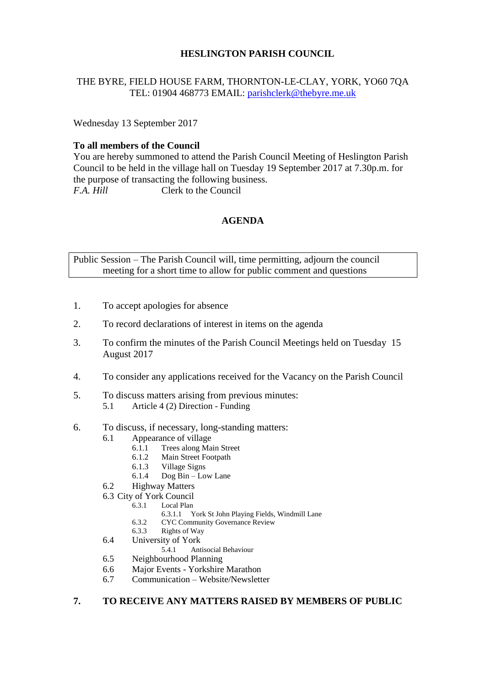## **HESLINGTON PARISH COUNCIL**

# THE BYRE, FIELD HOUSE FARM, THORNTON-LE-CLAY, YORK, YO60 7QA TEL: 01904 468773 EMAIL: [parishclerk@thebyre.me.uk](mailto:parishclerk@thebyre.me.uk)

Wednesday 13 September 2017

## **To all members of the Council**

You are hereby summoned to attend the Parish Council Meeting of Heslington Parish Council to be held in the village hall on Tuesday 19 September 2017 at 7.30p.m. for the purpose of transacting the following business. *F.A. Hill* Clerk to the Council

## **AGENDA**

Public Session – The Parish Council will, time permitting, adjourn the council meeting for a short time to allow for public comment and questions

- 1. To accept apologies for absence
- 2. To record declarations of interest in items on the agenda
- 3. To confirm the minutes of the Parish Council Meetings held on Tuesday 15 August 2017
- 4. To consider any applications received for the Vacancy on the Parish Council
- 5. To discuss matters arising from previous minutes:
	- 5.1 Article 4 (2) Direction Funding
- 6. To discuss, if necessary, long-standing matters:
	- 6.1 Appearance of village
		- 6.1.1 Trees along Main Street
		- 6.1.2 Main Street Footpath
		- 6.1.3 Village Signs
		- Dog Bin Low Lane
	- 6.2 Highway Matters
	- 6.3 City of York Council
		- Local Plan
			- 6.3.1.1 York St John Playing Fields, Windmill Lane
			- 6.3.2 CYC Community Governance Review<br>6.3.3 Rights of Way
		- Rights of Way
	- 6.4 University of York<br>5.4.1 Ant
		- 5.4.1 Antisocial Behaviour
	- 6.5 Neighbourhood Planning
	- 6.6 Major Events Yorkshire Marathon
	- 6.7 Communication Website/Newsletter

#### **7. TO RECEIVE ANY MATTERS RAISED BY MEMBERS OF PUBLIC**